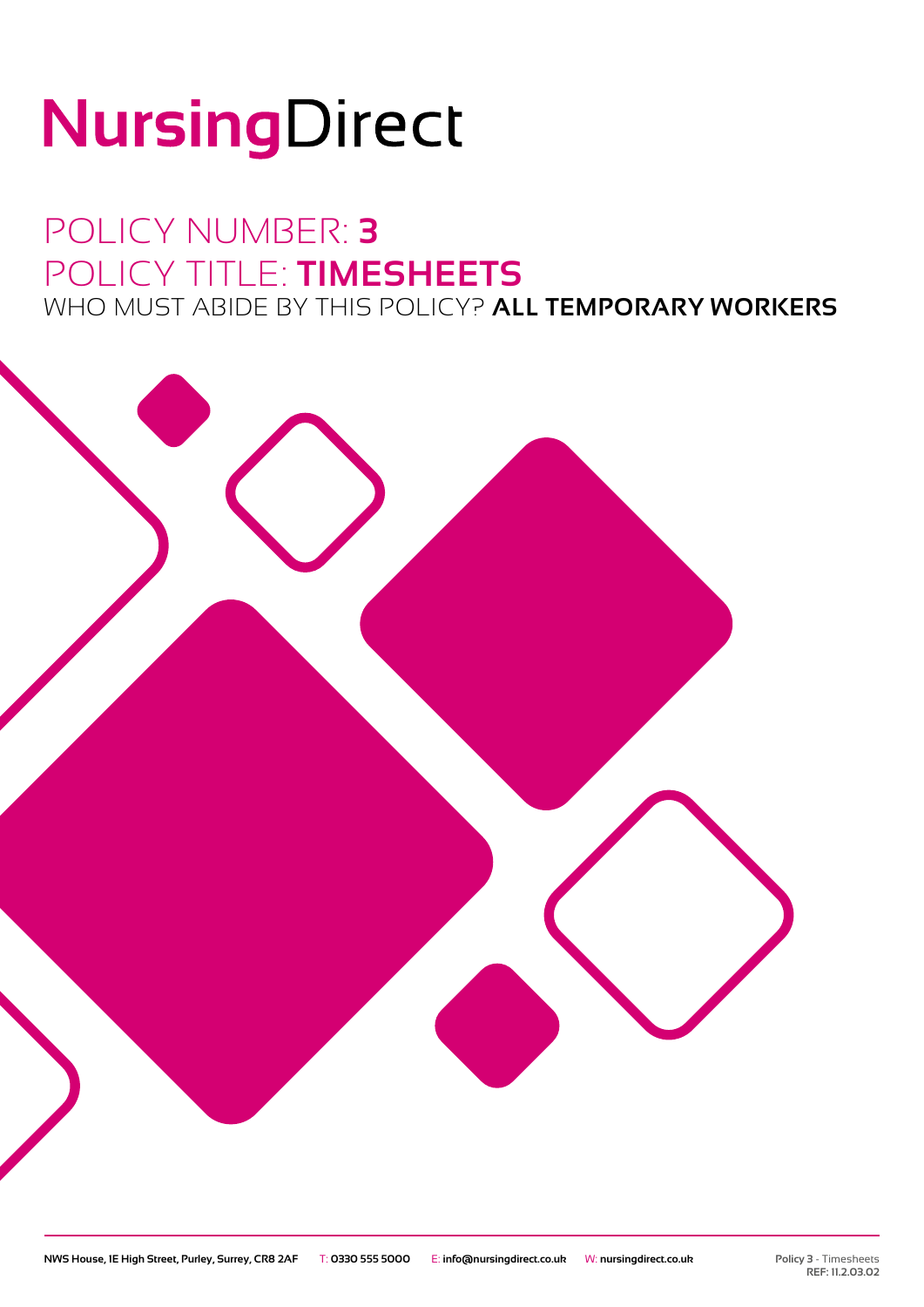# NursingDirect

### POLICY NUMBER: **3** POLICY TITLE: **TIMESHEETS** WHO MUST ABIDE BY THIS POLICY? **ALL TEMPORARY WORKERS**